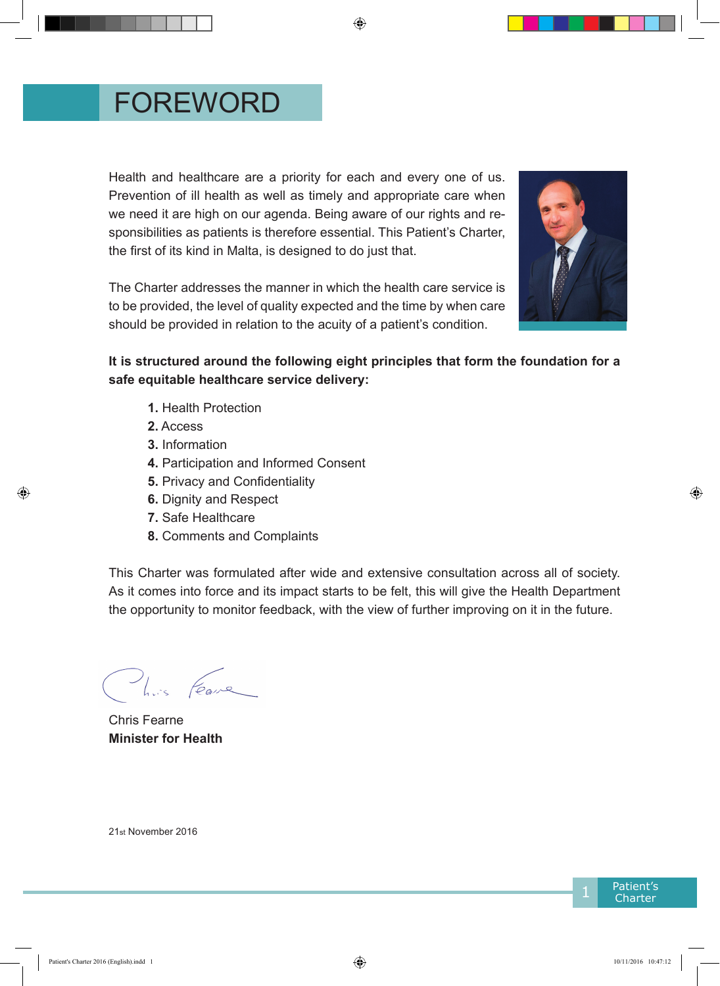## FOREWORD

Health and healthcare are a priority for each and every one of us. Prevention of ill health as well as timely and appropriate care when we need it are high on our agenda. Being aware of our rights and responsibilities as patients is therefore essential. This Patient's Charter, the first of its kind in Malta, is designed to do just that.

The Charter addresses the manner in which the health care service is to be provided, the level of quality expected and the time by when care should be provided in relation to the acuity of a patient's condition.



#### **It is structured around the following eight principles that form the foundation for a safe equitable healthcare service delivery:**

- **1.** Health Protection
- **2.** Access
- **3.** Information
- **4.** Participation and Informed Consent
- **5.** Privacy and Confidentiality
- **6.** Dignity and Respect
- **7.** Safe Healthcare
- **8.** Comments and Complaints

This Charter was formulated after wide and extensive consultation across all of society. As it comes into force and its impact starts to be felt, this will give the Health Department the opportunity to monitor feedback, with the view of further improving on it in the future.

This Feare

Chris Fearne **Minister for Health**

21st November 2016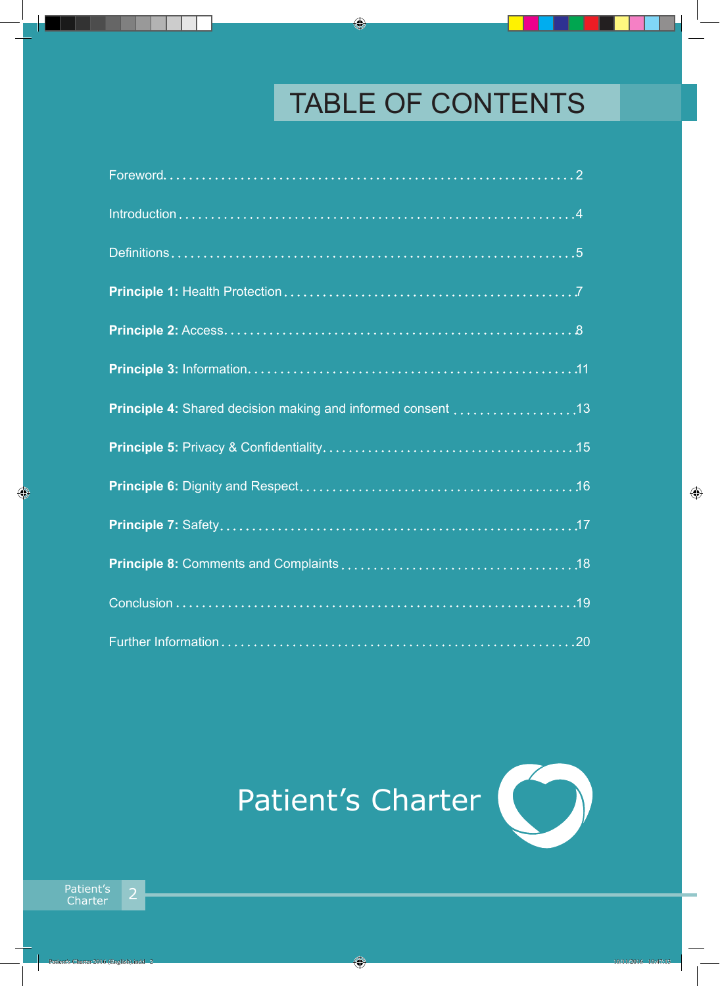# TABLE OF CONTENTS

| Principle 4: Shared decision making and informed consent 13 |
|-------------------------------------------------------------|
|                                                             |
|                                                             |
|                                                             |
|                                                             |
|                                                             |
|                                                             |

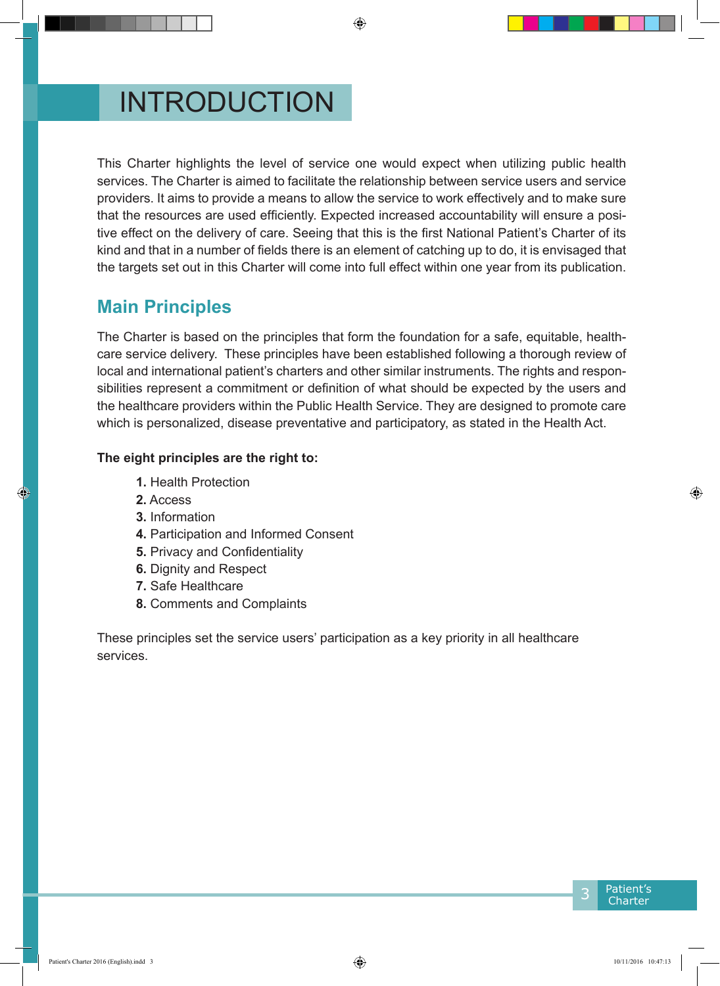# INTRODUCTION

This Charter highlights the level of service one would expect when utilizing public health services. The Charter is aimed to facilitate the relationship between service users and service providers. It aims to provide a means to allow the service to work effectively and to make sure that the resources are used efficiently. Expected increased accountability will ensure a positive effect on the delivery of care. Seeing that this is the first National Patient's Charter of its kind and that in a number of fields there is an element of catching up to do, it is envisaged that the targets set out in this Charter will come into full effect within one year from its publication.

### **Main Principles**

The Charter is based on the principles that form the foundation for a safe, equitable, healthcare service delivery. These principles have been established following a thorough review of local and international patient's charters and other similar instruments. The rights and responsibilities represent a commitment or definition of what should be expected by the users and the healthcare providers within the Public Health Service. They are designed to promote care which is personalized, disease preventative and participatory, as stated in the Health Act.

#### **The eight principles are the right to:**

- **1.** Health Protection
- **2.** Access
- **3.** Information
- **4.** Participation and Informed Consent
- **5.** Privacy and Confidentiality
- **6.** Dignity and Respect
- **7.** Safe Healthcare
- **8.** Comments and Complaints

These principles set the service users' participation as a key priority in all healthcare services.

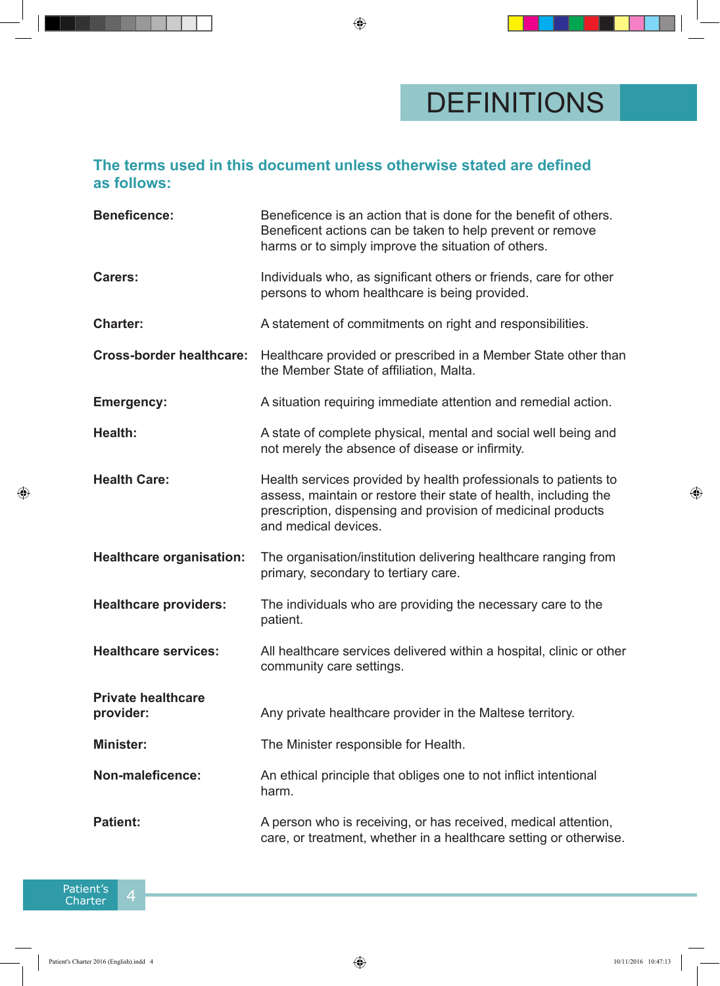#### **The terms used in this document unless otherwise stated are defined as follows:**

| <b>Beneficence:</b>                    | Beneficence is an action that is done for the benefit of others.<br>Beneficent actions can be taken to help prevent or remove<br>harms or to simply improve the situation of others.                                        |  |
|----------------------------------------|-----------------------------------------------------------------------------------------------------------------------------------------------------------------------------------------------------------------------------|--|
| <b>Carers:</b>                         | Individuals who, as significant others or friends, care for other<br>persons to whom healthcare is being provided.                                                                                                          |  |
| <b>Charter:</b>                        | A statement of commitments on right and responsibilities.                                                                                                                                                                   |  |
| <b>Cross-border healthcare:</b>        | Healthcare provided or prescribed in a Member State other than<br>the Member State of affiliation, Malta.                                                                                                                   |  |
| <b>Emergency:</b>                      | A situation requiring immediate attention and remedial action.                                                                                                                                                              |  |
| Health:                                | A state of complete physical, mental and social well being and<br>not merely the absence of disease or infirmity.                                                                                                           |  |
| <b>Health Care:</b>                    | Health services provided by health professionals to patients to<br>assess, maintain or restore their state of health, including the<br>prescription, dispensing and provision of medicinal products<br>and medical devices. |  |
| <b>Healthcare organisation:</b>        | The organisation/institution delivering healthcare ranging from<br>primary, secondary to tertiary care.                                                                                                                     |  |
| <b>Healthcare providers:</b>           | The individuals who are providing the necessary care to the<br>patient.                                                                                                                                                     |  |
| <b>Healthcare services:</b>            | All healthcare services delivered within a hospital, clinic or other<br>community care settings.                                                                                                                            |  |
| <b>Private healthcare</b><br>provider: | Any private healthcare provider in the Maltese territory.                                                                                                                                                                   |  |
| <b>Minister:</b>                       | The Minister responsible for Health.                                                                                                                                                                                        |  |
| Non-maleficence:                       | An ethical principle that obliges one to not inflict intentional<br>harm.                                                                                                                                                   |  |
| <b>Patient:</b>                        | A person who is receiving, or has received, medical attention,<br>care, or treatment, whether in a healthcare setting or otherwise.                                                                                         |  |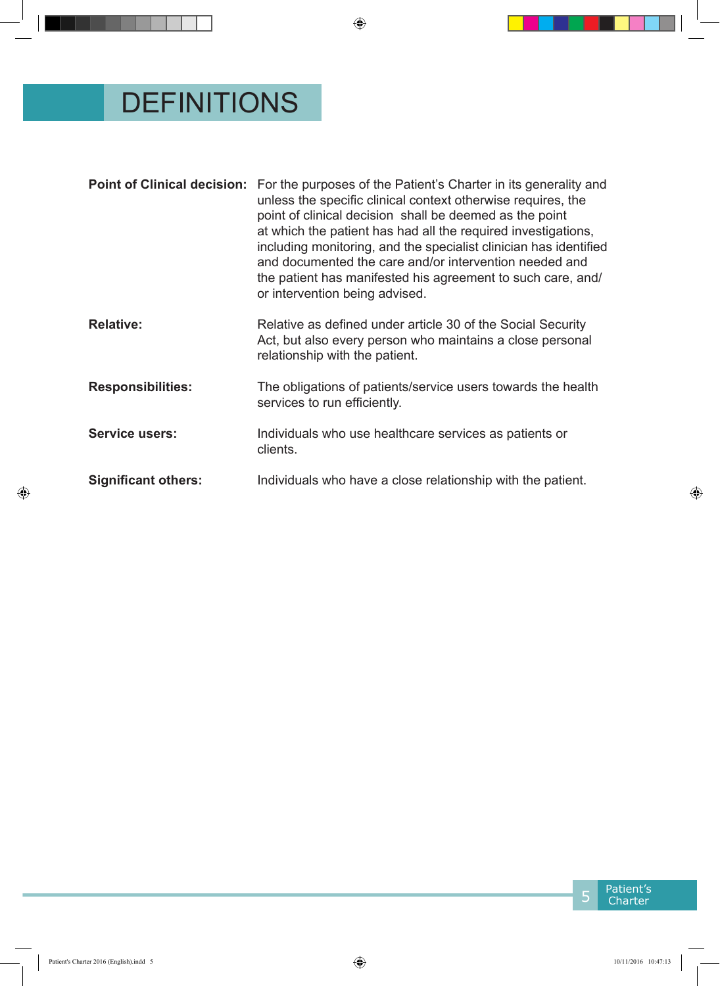# DEFINITIONS

|                            | <b>Point of Clinical decision:</b> For the purposes of the Patient's Charter in its generality and<br>unless the specific clinical context otherwise requires, the<br>point of clinical decision shall be deemed as the point<br>at which the patient has had all the required investigations,<br>including monitoring, and the specialist clinician has identified<br>and documented the care and/or intervention needed and<br>the patient has manifested his agreement to such care, and/<br>or intervention being advised. |
|----------------------------|--------------------------------------------------------------------------------------------------------------------------------------------------------------------------------------------------------------------------------------------------------------------------------------------------------------------------------------------------------------------------------------------------------------------------------------------------------------------------------------------------------------------------------|
| <b>Relative:</b>           | Relative as defined under article 30 of the Social Security<br>Act, but also every person who maintains a close personal<br>relationship with the patient.                                                                                                                                                                                                                                                                                                                                                                     |
| <b>Responsibilities:</b>   | The obligations of patients/service users towards the health<br>services to run efficiently.                                                                                                                                                                                                                                                                                                                                                                                                                                   |
| <b>Service users:</b>      | Individuals who use healthcare services as patients or<br>clients.                                                                                                                                                                                                                                                                                                                                                                                                                                                             |
| <b>Significant others:</b> | Individuals who have a close relationship with the patient.                                                                                                                                                                                                                                                                                                                                                                                                                                                                    |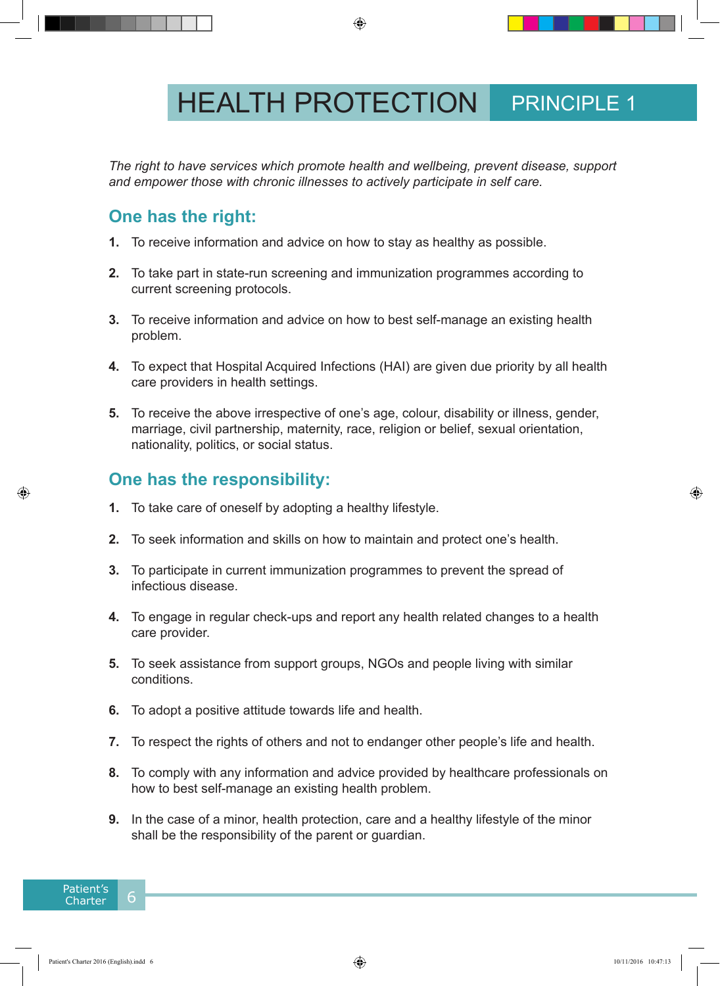# **HEALTH PROTECTION** PRINCIPLE 1

*The right to have services which promote health and wellbeing, prevent disease, support and empower those with chronic illnesses to actively participate in self care.*

### **One has the right:**

- **1.** To receive information and advice on how to stay as healthy as possible.
- **2.** To take part in state-run screening and immunization programmes according to current screening protocols.
- **3.** To receive information and advice on how to best self-manage an existing health problem.
- **4.** To expect that Hospital Acquired Infections (HAI) are given due priority by all health care providers in health settings.
- **5.** To receive the above irrespective of one's age, colour, disability or illness, gender, marriage, civil partnership, maternity, race, religion or belief, sexual orientation, nationality, politics, or social status.

- **1.** To take care of oneself by adopting a healthy lifestyle.
- **2.** To seek information and skills on how to maintain and protect one's health.
- **3.** To participate in current immunization programmes to prevent the spread of infectious disease.
- **4.** To engage in regular check-ups and report any health related changes to a health care provider.
- **5.** To seek assistance from support groups, NGOs and people living with similar conditions.
- **6.** To adopt a positive attitude towards life and health.
- **7.** To respect the rights of others and not to endanger other people's life and health.
- **8.** To comply with any information and advice provided by healthcare professionals on how to best self-manage an existing health problem.
- **9.** In the case of a minor, health protection, care and a healthy lifestyle of the minor shall be the responsibility of the parent or guardian.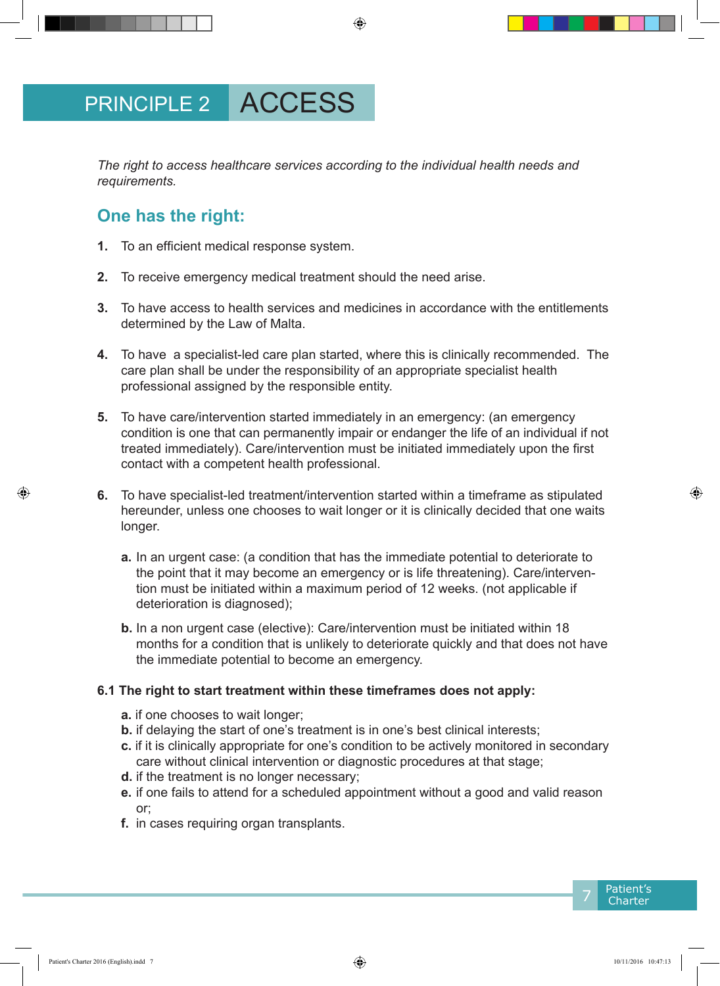*The right to access healthcare services according to the individual health needs and requirements.* 

### **One has the right:**

- **1.** To an efficient medical response system.
- **2.** To receive emergency medical treatment should the need arise.
- **3.** To have access to health services and medicines in accordance with the entitlements determined by the Law of Malta.
- **4.** To have a specialist-led care plan started, where this is clinically recommended. The care plan shall be under the responsibility of an appropriate specialist health professional assigned by the responsible entity.
- **5.** To have care/intervention started immediately in an emergency: (an emergency condition is one that can permanently impair or endanger the life of an individual if not treated immediately). Care/intervention must be initiated immediately upon the first contact with a competent health professional.
- **6.** To have specialist-led treatment/intervention started within a timeframe as stipulated hereunder, unless one chooses to wait longer or it is clinically decided that one waits longer.
	- **a.** In an urgent case: (a condition that has the immediate potential to deteriorate to the point that it may become an emergency or is life threatening). Care/intervention must be initiated within a maximum period of 12 weeks. (not applicable if deterioration is diagnosed);
	- **b.** In a non urgent case (elective): Care/intervention must be initiated within 18 months for a condition that is unlikely to deteriorate quickly and that does not have the immediate potential to become an emergency.

#### **6.1 The right to start treatment within these timeframes does not apply:**

- **a.** if one chooses to wait longer;
- **b.** if delaying the start of one's treatment is in one's best clinical interests;
- **c.** if it is clinically appropriate for one's condition to be actively monitored in secondary care without clinical intervention or diagnostic procedures at that stage;
- **d.** if the treatment is no longer necessary;
- **e.** if one fails to attend for a scheduled appointment without a good and valid reason or;
- **f.** in cases requiring organ transplants.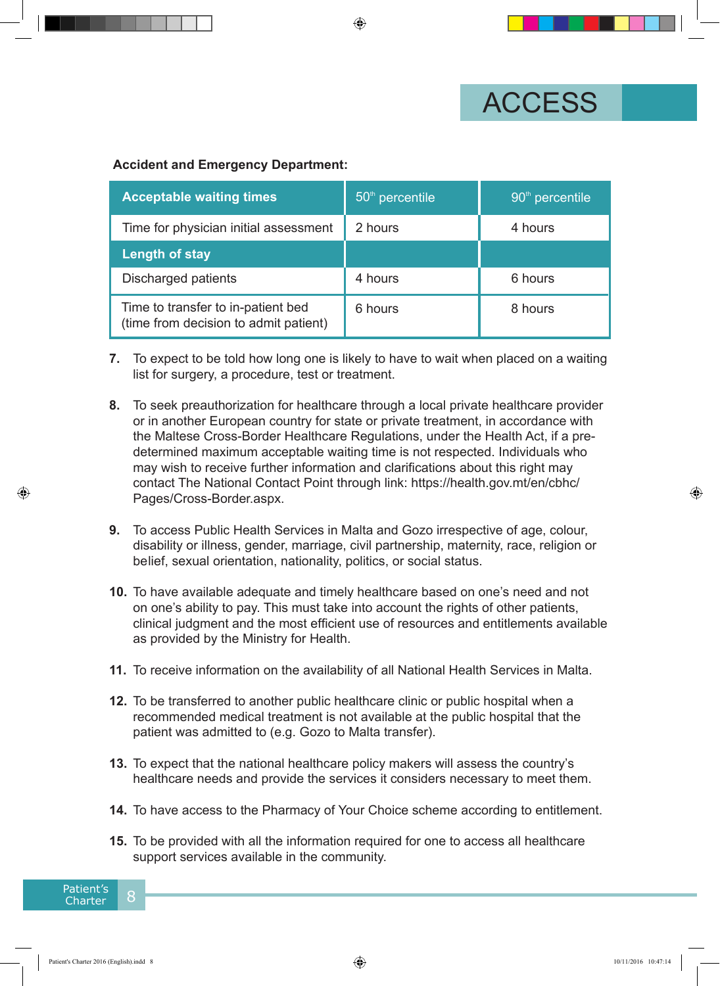

#### **Accident and Emergency Department:**

| <b>Acceptable waiting times</b>                                             | $50th$ percentile | 90 <sup>th</sup> percentile |
|-----------------------------------------------------------------------------|-------------------|-----------------------------|
| Time for physician initial assessment                                       | 2 hours           | 4 hours                     |
| <b>Length of stay</b>                                                       |                   |                             |
| Discharged patients                                                         | 4 hours           | 6 hours                     |
| Time to transfer to in-patient bed<br>(time from decision to admit patient) | 6 hours           | 8 hours                     |

- **7.** To expect to be told how long one is likely to have to wait when placed on a waiting list for surgery, a procedure, test or treatment.
- **8.** To seek preauthorization for healthcare through a local private healthcare provider or in another European country for state or private treatment, in accordance with the Maltese Cross-Border Healthcare Regulations, under the Health Act, if a predetermined maximum acceptable waiting time is not respected. Individuals who may wish to receive further information and clarifications about this right may contact The National Contact Point through link: https://health.gov.mt/en/cbhc/ Pages/Cross-Border.aspx.
- **9.** To access Public Health Services in Malta and Gozo irrespective of age, colour, disability or illness, gender, marriage, civil partnership, maternity, race, religion or belief, sexual orientation, nationality, politics, or social status.
- **10.** To have available adequate and timely healthcare based on one's need and not on one's ability to pay. This must take into account the rights of other patients, clinical judgment and the most efficient use of resources and entitlements available as provided by the Ministry for Health.
- **11.** To receive information on the availability of all National Health Services in Malta.
- **12.** To be transferred to another public healthcare clinic or public hospital when a recommended medical treatment is not available at the public hospital that the patient was admitted to (e.g. Gozo to Malta transfer).
- **13.** To expect that the national healthcare policy makers will assess the country's healthcare needs and provide the services it considers necessary to meet them.
- **14.** To have access to the Pharmacy of Your Choice scheme according to entitlement.
- **15.** To be provided with all the information required for one to access all healthcare support services available in the community.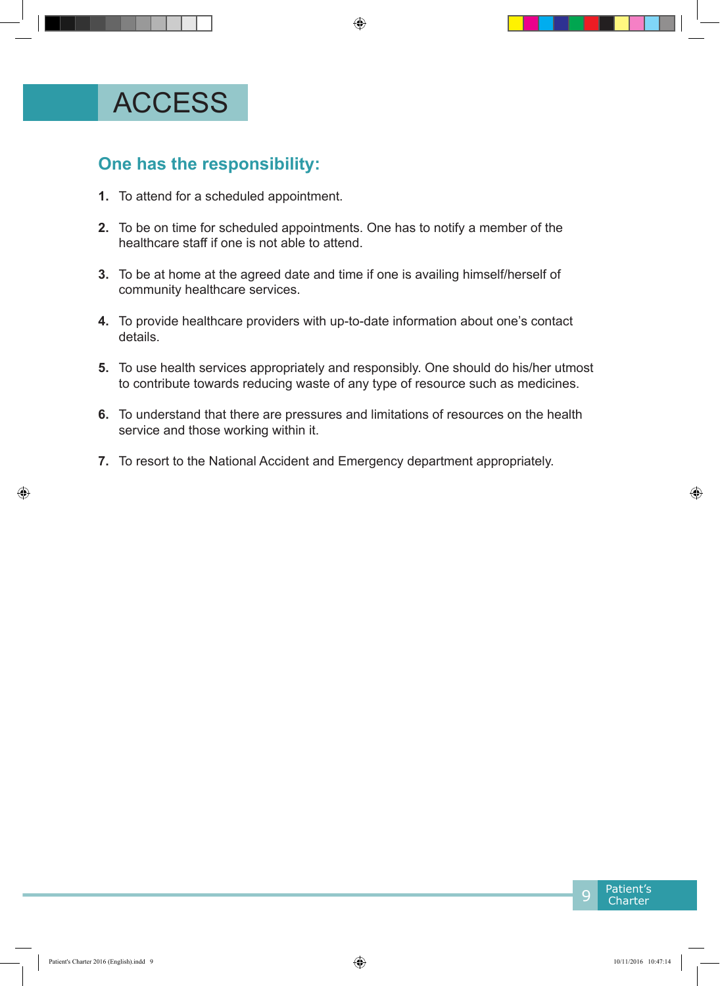## ACCESS

- **1.** To attend for a scheduled appointment.
- **2.** To be on time for scheduled appointments. One has to notify a member of the healthcare staff if one is not able to attend.
- **3.** To be at home at the agreed date and time if one is availing himself/herself of community healthcare services.
- **4.** To provide healthcare providers with up-to-date information about one's contact details.
- **5.** To use health services appropriately and responsibly. One should do his/her utmost to contribute towards reducing waste of any type of resource such as medicines.
- **6.** To understand that there are pressures and limitations of resources on the health service and those working within it.
- **7.** To resort to the National Accident and Emergency department appropriately.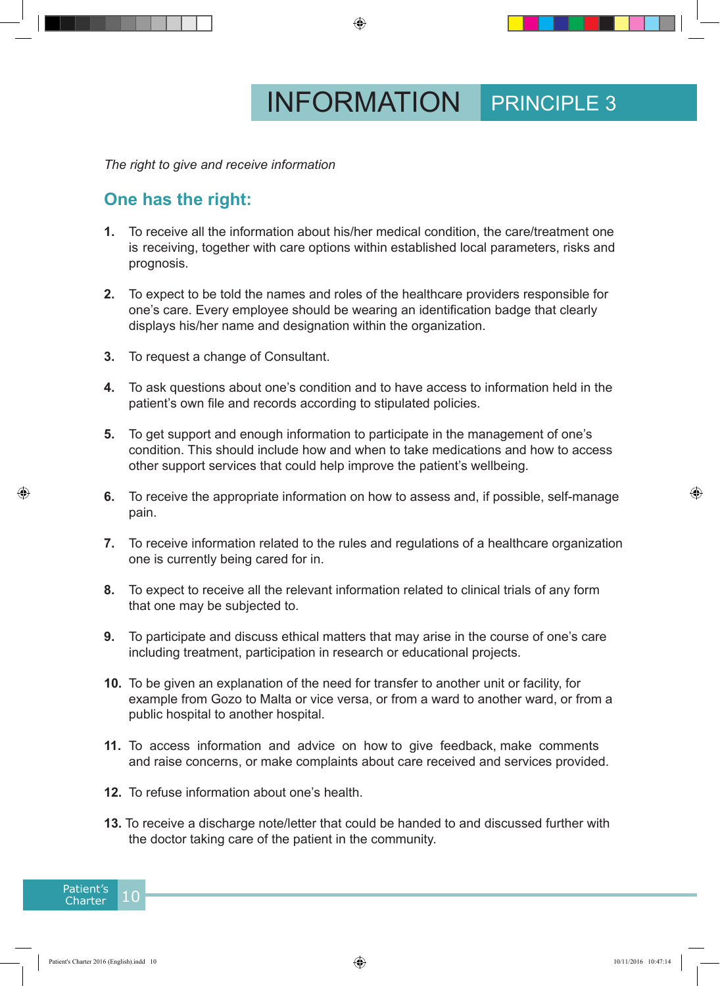*The right to give and receive information*

#### **One has the right:**

- **1.** To receive all the information about his/her medical condition, the care/treatment one is receiving, together with care options within established local parameters, risks and prognosis.
- **2.** To expect to be told the names and roles of the healthcare providers responsible for one's care. Every employee should be wearing an identification badge that clearly displays his/her name and designation within the organization.
- **3.** To request a change of Consultant.
- **4.** To ask questions about one's condition and to have access to information held in the patient's own file and records according to stipulated policies.
- **5.** To get support and enough information to participate in the management of one's condition. This should include how and when to take medications and how to access other support services that could help improve the patient's wellbeing.
- **6.** To receive the appropriate information on how to assess and, if possible, self-manage pain.
- **7.** To receive information related to the rules and regulations of a healthcare organization one is currently being cared for in.
- **8.** To expect to receive all the relevant information related to clinical trials of any form that one may be subjected to.
- **9.** To participate and discuss ethical matters that may arise in the course of one's care including treatment, participation in research or educational projects.
- **10.** To be given an explanation of the need for transfer to another unit or facility, for example from Gozo to Malta or vice versa, or from a ward to another ward, or from a public hospital to another hospital.
- **11.** To access information and advice on how to give feedback, make comments and raise concerns, or make complaints about care received and services provided.
- **12.** To refuse information about one's health.
- **13.** To receive a discharge note/letter that could be handed to and discussed further with the doctor taking care of the patient in the community.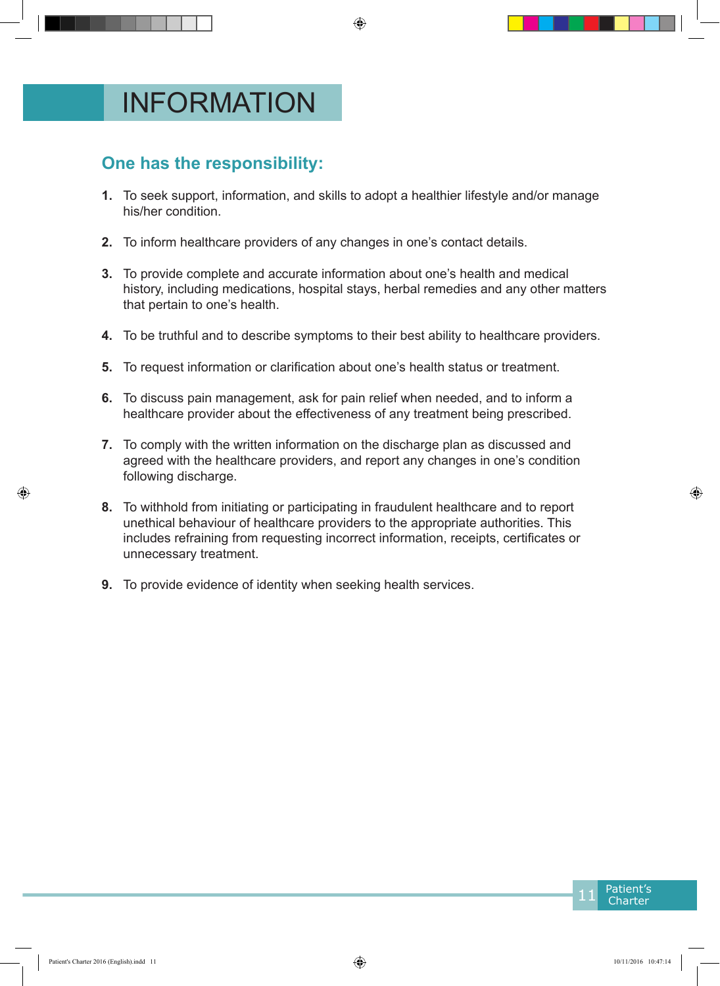# INFORMATION

- **1.** To seek support, information, and skills to adopt a healthier lifestyle and/or manage his/her condition.
- **2.** To inform healthcare providers of any changes in one's contact details.
- **3.** To provide complete and accurate information about one's health and medical history, including medications, hospital stays, herbal remedies and any other matters that pertain to one's health.
- **4.** To be truthful and to describe symptoms to their best ability to healthcare providers.
- **5.** To request information or clarification about one's health status or treatment.
- **6.** To discuss pain management, ask for pain relief when needed, and to inform a healthcare provider about the effectiveness of any treatment being prescribed.
- **7.** To comply with the written information on the discharge plan as discussed and agreed with the healthcare providers, and report any changes in one's condition following discharge.
- **8.** To withhold from initiating or participating in fraudulent healthcare and to report unethical behaviour of healthcare providers to the appropriate authorities. This includes refraining from requesting incorrect information, receipts, certificates or unnecessary treatment.
- **9.** To provide evidence of identity when seeking health services.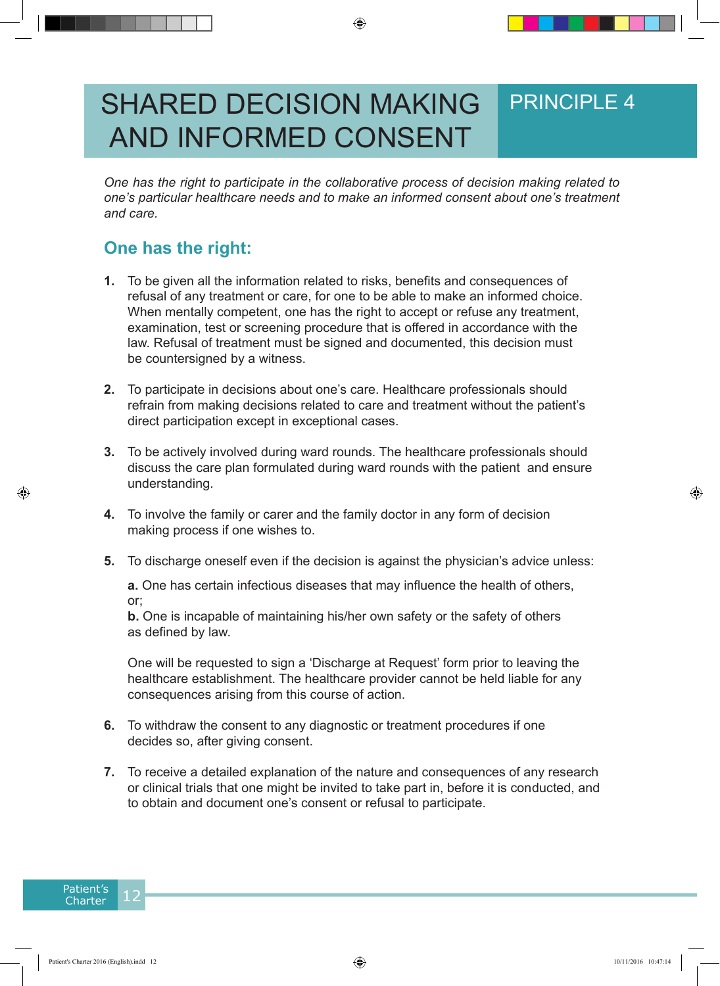## PRINCIPLE 4 SHARED DECISION MAKING AND INFORMED CONSENT

*One has the right to participate in the collaborative process of decision making related to one's particular healthcare needs and to make an informed consent about one's treatment and care.*

### **One has the right:**

- **1.** To be given all the information related to risks, benefits and consequences of refusal of any treatment or care, for one to be able to make an informed choice. When mentally competent, one has the right to accept or refuse any treatment, examination, test or screening procedure that is offered in accordance with the law. Refusal of treatment must be signed and documented, this decision must be countersigned by a witness.
- **2.** To participate in decisions about one's care. Healthcare professionals should refrain from making decisions related to care and treatment without the patient's direct participation except in exceptional cases.
- **3.** To be actively involved during ward rounds. The healthcare professionals should discuss the care plan formulated during ward rounds with the patient and ensure understanding.
- **4.** To involve the family or carer and the family doctor in any form of decision making process if one wishes to.
- **5.** To discharge oneself even if the decision is against the physician's advice unless:

**a.** One has certain infectious diseases that may influence the health of others, or;

**b.** One is incapable of maintaining his/her own safety or the safety of others as defined by law.

One will be requested to sign a 'Discharge at Request' form prior to leaving the healthcare establishment. The healthcare provider cannot be held liable for any consequences arising from this course of action.

- **6.** To withdraw the consent to any diagnostic or treatment procedures if one decides so, after giving consent.
- **7.** To receive a detailed explanation of the nature and consequences of any research or clinical trials that one might be invited to take part in, before it is conducted, and to obtain and document one's consent or refusal to participate.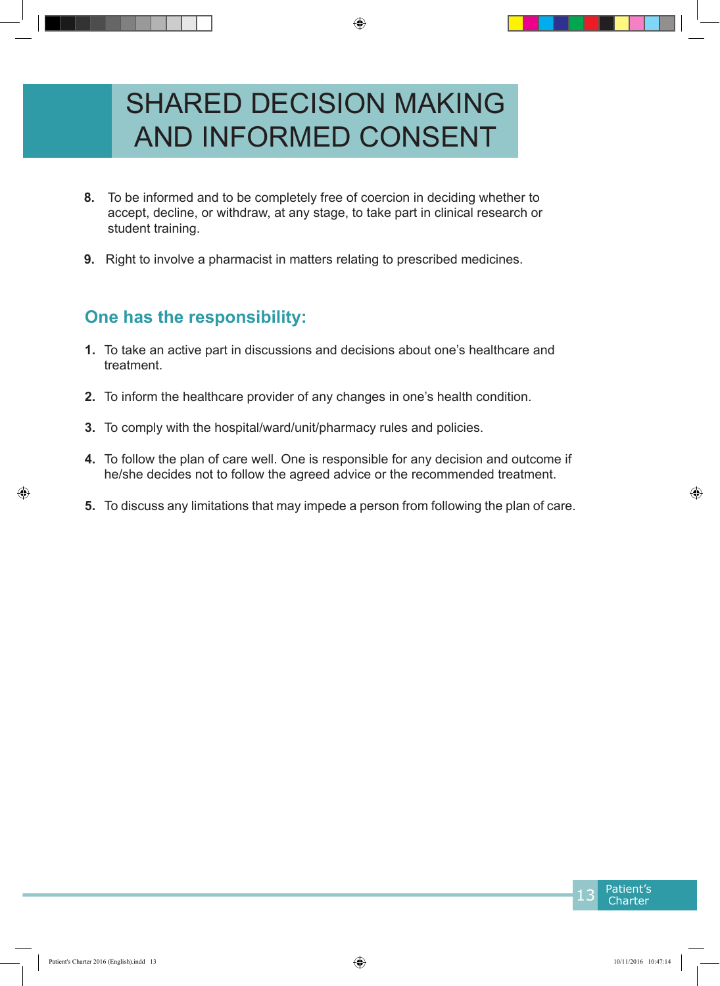# SHARED DECISION MAKING AND INFORMED CONSENT

- **8.** To be informed and to be completely free of coercion in deciding whether to accept, decline, or withdraw, at any stage, to take part in clinical research or student training.
- **9.** Right to involve a pharmacist in matters relating to prescribed medicines.

- **1.** To take an active part in discussions and decisions about one's healthcare and treatment.
- **2.** To inform the healthcare provider of any changes in one's health condition.
- **3.** To comply with the hospital/ward/unit/pharmacy rules and policies.
- **4.** To follow the plan of care well. One is responsible for any decision and outcome if he/she decides not to follow the agreed advice or the recommended treatment.
- **5.** To discuss any limitations that may impede a person from following the plan of care.

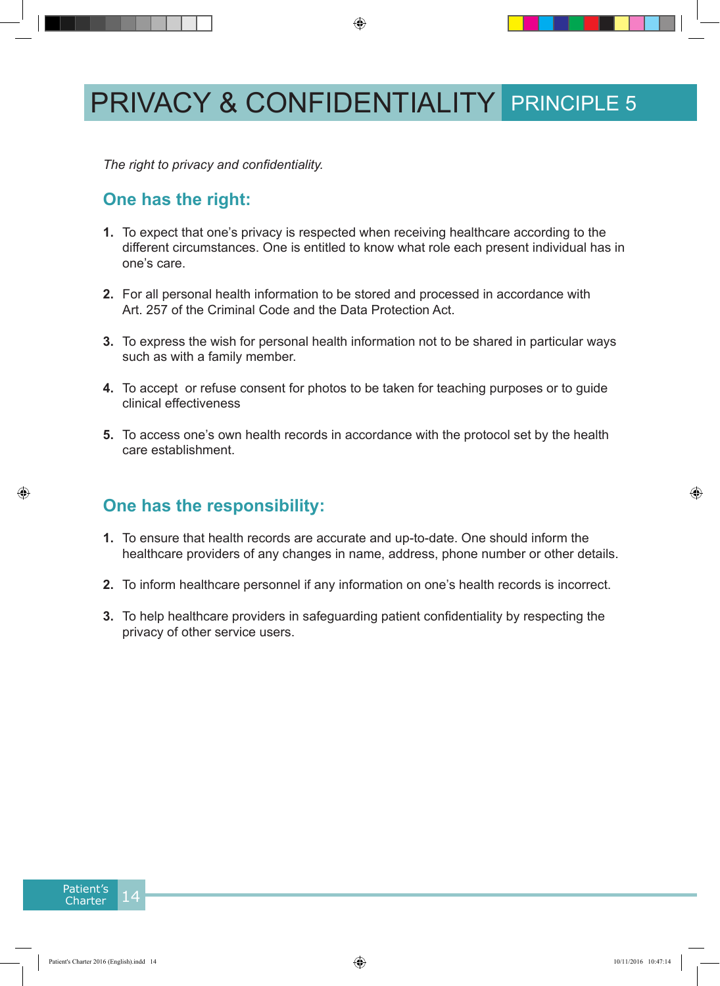## PRIVACY & CONFIDENTIALITY PRINCIPLE 5

*The right to privacy and confidentiality.*

#### **One has the right:**

- **1.** To expect that one's privacy is respected when receiving healthcare according to the different circumstances. One is entitled to know what role each present individual has in one's care.
- **2.** For all personal health information to be stored and processed in accordance with Art. 257 of the Criminal Code and the Data Protection Act.
- **3.** To express the wish for personal health information not to be shared in particular ways such as with a family member.
- **4.** To accept or refuse consent for photos to be taken for teaching purposes or to guide clinical effectiveness
- **5.** To access one's own health records in accordance with the protocol set by the health care establishment.

- **1.** To ensure that health records are accurate and up-to-date. One should inform the healthcare providers of any changes in name, address, phone number or other details.
- **2.** To inform healthcare personnel if any information on one's health records is incorrect.
- **3.** To help healthcare providers in safeguarding patient confidentiality by respecting the privacy of other service users.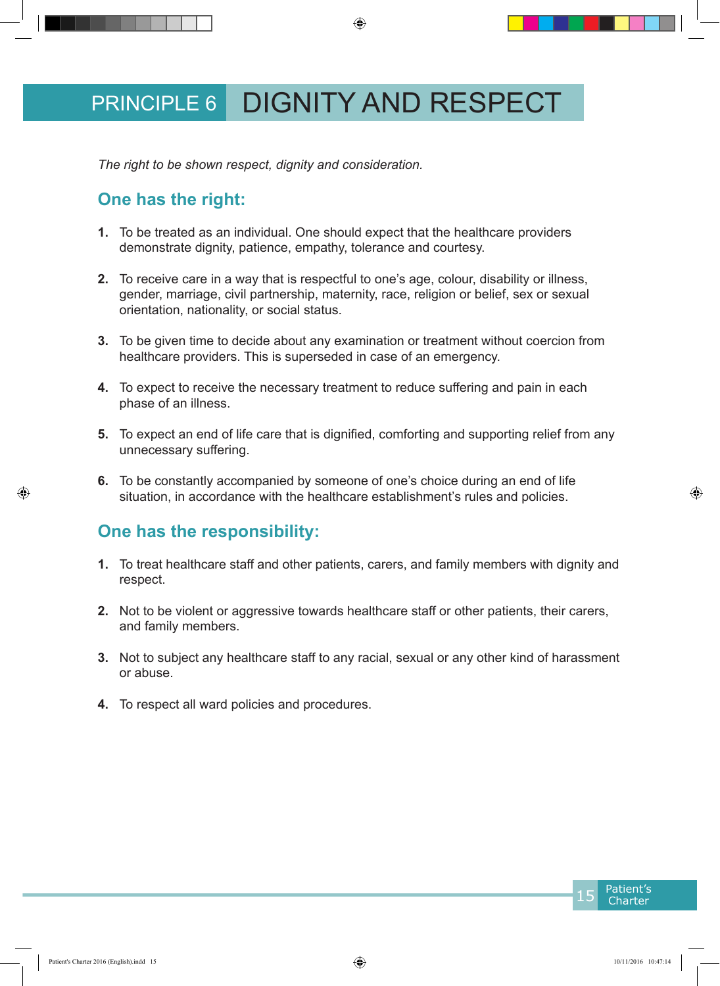## PRINCIPLE 6 DIGNITY AND RESPECT

*The right to be shown respect, dignity and consideration.*

### **One has the right:**

- **1.** To be treated as an individual. One should expect that the healthcare providers demonstrate dignity, patience, empathy, tolerance and courtesy.
- **2.** To receive care in a way that is respectful to one's age, colour, disability or illness, gender, marriage, civil partnership, maternity, race, religion or belief, sex or sexual orientation, nationality, or social status.
- **3.** To be given time to decide about any examination or treatment without coercion from healthcare providers. This is superseded in case of an emergency.
- **4.** To expect to receive the necessary treatment to reduce suffering and pain in each phase of an illness.
- **5.** To expect an end of life care that is dignified, comforting and supporting relief from any unnecessary suffering.
- **6.** To be constantly accompanied by someone of one's choice during an end of life situation, in accordance with the healthcare establishment's rules and policies.

- **1.** To treat healthcare staff and other patients, carers, and family members with dignity and respect.
- **2.** Not to be violent or aggressive towards healthcare staff or other patients, their carers, and family members.
- **3.** Not to subject any healthcare staff to any racial, sexual or any other kind of harassment or abuse.
- **4.** To respect all ward policies and procedures.

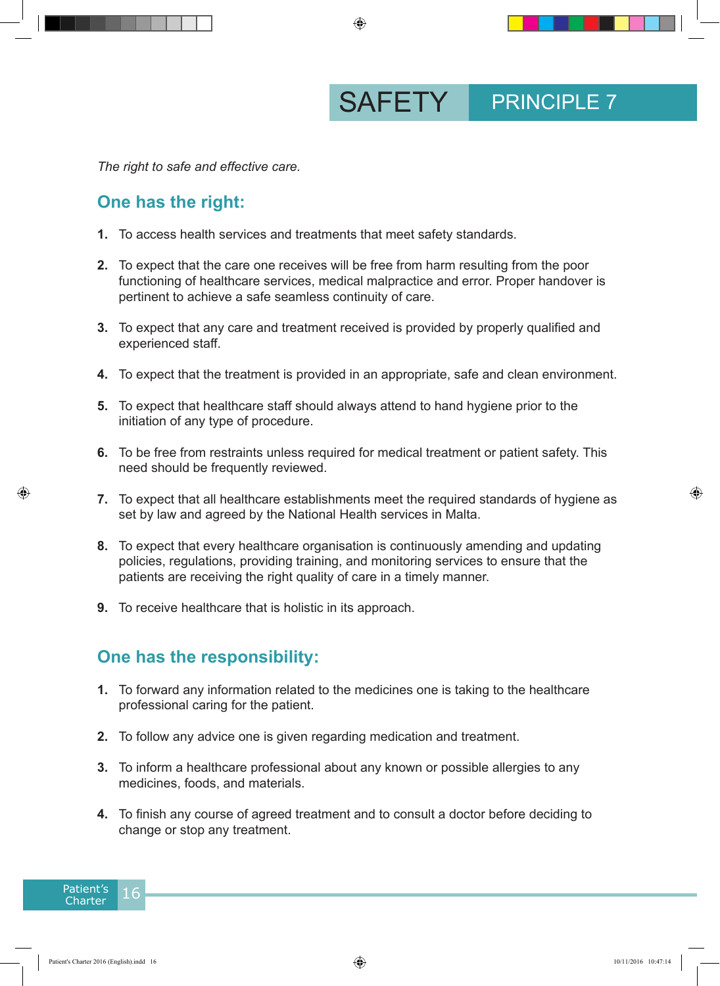SAFETY PRINCIPLE 7

*The right to safe and effective care.*

#### **One has the right:**

- **1.** To access health services and treatments that meet safety standards.
- **2.** To expect that the care one receives will be free from harm resulting from the poor functioning of healthcare services, medical malpractice and error. Proper handover is pertinent to achieve a safe seamless continuity of care.
- **3.** To expect that any care and treatment received is provided by properly qualified and experienced staff.
- **4.** To expect that the treatment is provided in an appropriate, safe and clean environment.
- **5.** To expect that healthcare staff should always attend to hand hygiene prior to the initiation of any type of procedure.
- **6.** To be free from restraints unless required for medical treatment or patient safety. This need should be frequently reviewed.
- **7.** To expect that all healthcare establishments meet the required standards of hygiene as set by law and agreed by the National Health services in Malta.
- **8.** To expect that every healthcare organisation is continuously amending and updating policies, regulations, providing training, and monitoring services to ensure that the patients are receiving the right quality of care in a timely manner.
- **9.** To receive healthcare that is holistic in its approach.

- **1.** To forward any information related to the medicines one is taking to the healthcare professional caring for the patient.
- **2.** To follow any advice one is given regarding medication and treatment.
- **3.** To inform a healthcare professional about any known or possible allergies to any medicines, foods, and materials.
- **4.** To finish any course of agreed treatment and to consult a doctor before deciding to change or stop any treatment.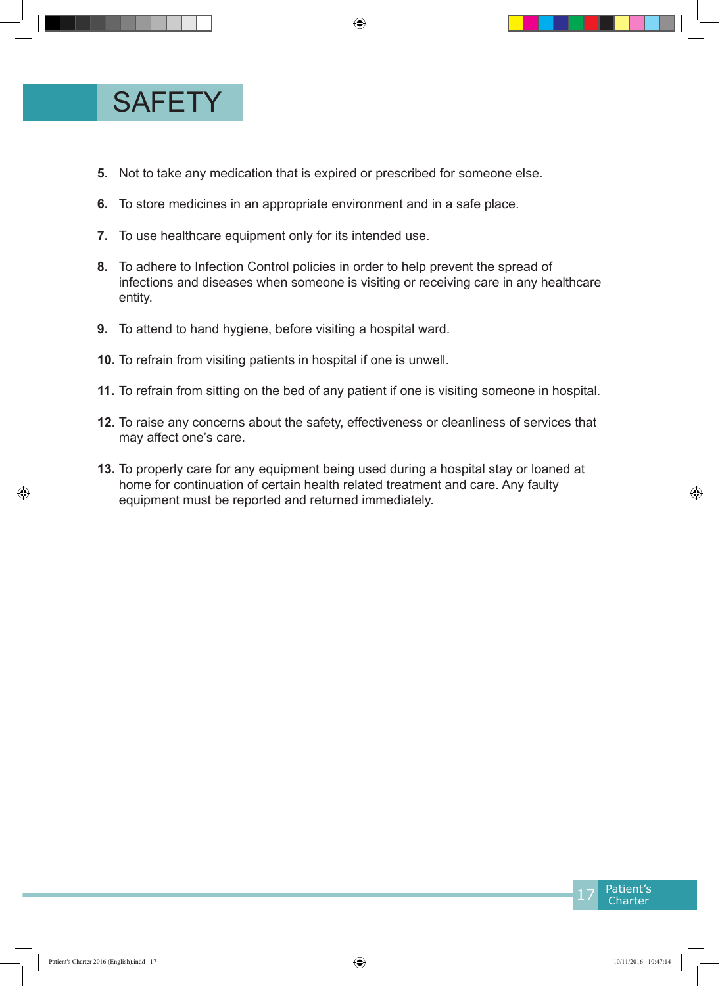

- **5.** Not to take any medication that is expired or prescribed for someone else.
- **6.** To store medicines in an appropriate environment and in a safe place.
- **7.** To use healthcare equipment only for its intended use.
- **8.** To adhere to Infection Control policies in order to help prevent the spread of infections and diseases when someone is visiting or receiving care in any healthcare entity.
- **9.** To attend to hand hygiene, before visiting a hospital ward.
- **10.** To refrain from visiting patients in hospital if one is unwell.
- **11.** To refrain from sitting on the bed of any patient if one is visiting someone in hospital.
- **12.** To raise any concerns about the safety, effectiveness or cleanliness of services that may affect one's care.
- **13.** To properly care for any equipment being used during a hospital stay or loaned at home for continuation of certain health related treatment and care. Any faulty equipment must be reported and returned immediately.

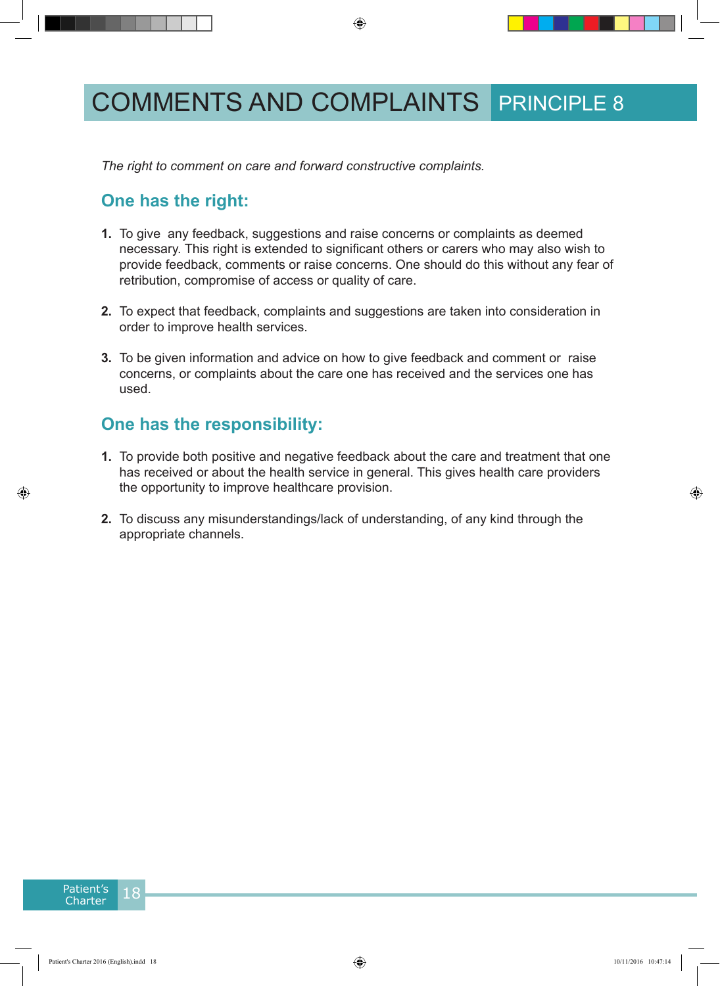## COMMENTS AND COMPLAINTS PRINCIPLE 8

*The right to comment on care and forward constructive complaints.*

### **One has the right:**

- **1.** To give any feedback, suggestions and raise concerns or complaints as deemed necessary. This right is extended to significant others or carers who may also wish to provide feedback, comments or raise concerns. One should do this without any fear of retribution, compromise of access or quality of care.
- **2.** To expect that feedback, complaints and suggestions are taken into consideration in order to improve health services.
- **3.** To be given information and advice on how to give feedback and comment or raise concerns, or complaints about the care one has received and the services one has used.

- **1.** To provide both positive and negative feedback about the care and treatment that one has received or about the health service in general. This gives health care providers the opportunity to improve healthcare provision.
- **2.** To discuss any misunderstandings/lack of understanding, of any kind through the appropriate channels.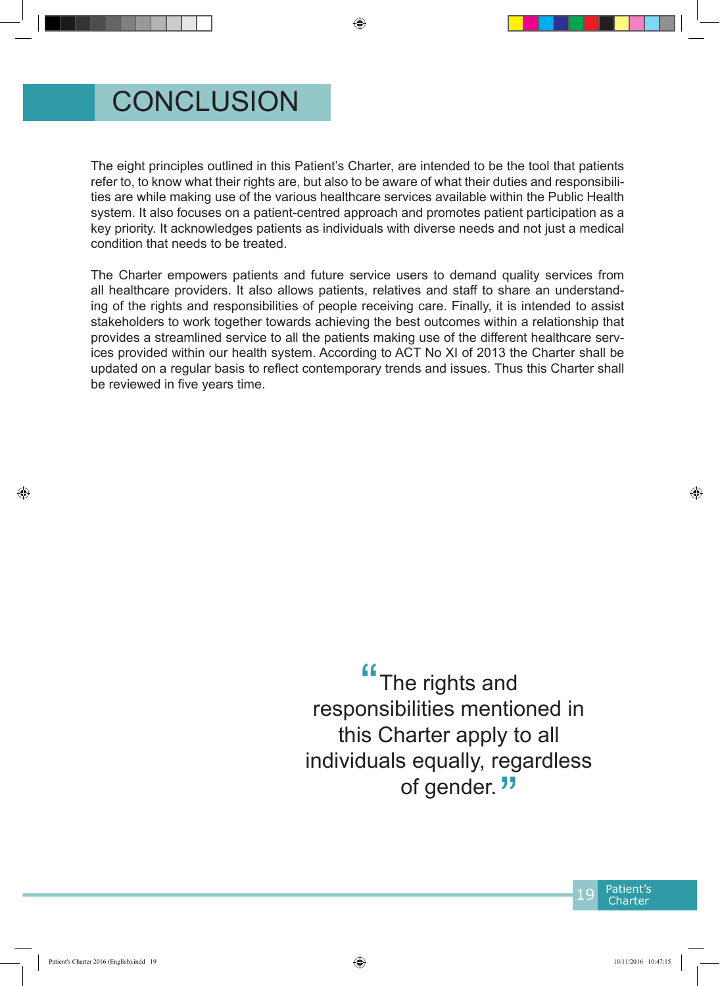## **CONCLUSION**

The eight principles outlined in this Patient's Charter, are intended to be the tool that patients refer to, to know what their rights are, but also to be aware of what their duties and responsibilities are while making use of the various healthcare services available within the Public Health system. It also focuses on a patient-centred approach and promotes patient participation as a key priority. It acknowledges patients as individuals with diverse needs and not just a medical condition that needs to be treated.

The Charter empowers patients and future service users to demand quality services from all healthcare providers. It also allows patients, relatives and staff to share an understanding of the rights and responsibilities of people receiving care. Finally, it is intended to assist stakeholders to work together towards achieving the best outcomes within a relationship that provides a streamlined service to all the patients making use of the different healthcare services provided within our health system. According to ACT No XI of 2013 the Charter shall be updated on a regular basis to reflect contemporary trends and issues. Thus this Charter shall be reviewed in five years time.

> The rights and responsibilities mentioned in this Charter apply to all individuals equally, regardless of gender.<sup>"</sup>  $\frac{1}{10}$